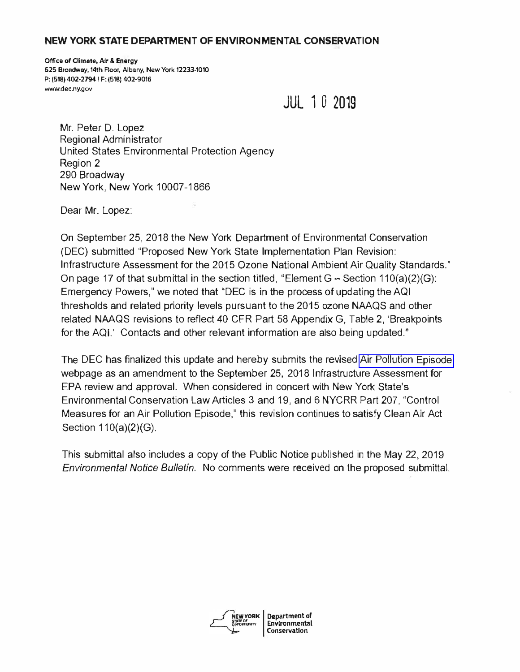#### **NEW YORK STATE DEPARTMENT OF ENVIRONMENTAL CONSERVATION**

**Office of Climate, Air & Energy 625 Broadway, 14th** Ftoor, **Albany, New York** 12233-1010 **P: (518) 402-2794 I F: (518) 402-9016**  <www.dec.ny.gov>

**JUL 1 D 2019** 

Mr. Peter D. Lopez Regional Administrator United States Environmental Protection Agency Region 2 290 Broadway New York, New York 10007-1866

Dear Mr. Lopez:

On September 25, 2018 the New York Department of Environmental Conservation (DEC) submitted "Proposed New York State Implementation Plan Revision: Infrastructure Assessment for the 2015 Ozone National Ambient Air Quality Standards." On page 17 of that submittal in the section titled, "Element  $G -$  Section 110(a)(2)(G): Emergency Powers," we noted that "DEC is in the process of updating the AQI thresholds and related priority levels pursuant to the 2015 ozone NAAQS and other related NAAQS revisions to reflect 40 CFR Part 58 Appendix G, Table 2, 'Breakpoints for the AQI.' Contacts and other relevant information are also being updated."

The DEC has finalized this update and hereby submits the revised [Air Pollution Episode](www.dec.ny.gov/chemical/60440.html)  webpage as an amendment to the September 25, 2018 Infrastructure Assessment for EPA review and approval. When considered in concert with New York State's Environmental Conservation Law Articles 3 and 19, and 6 NYCRR Part 207, "Control Measures for an Air Pollution Episode," this revision continues to satisfy Clean Air Act Section 110(a)(2)(G).

This submittal also includes a copy of the Public Notice published in the May 22, 2019 *Environmental Notice Bulletin.* No comments were received on the proposed submittal.

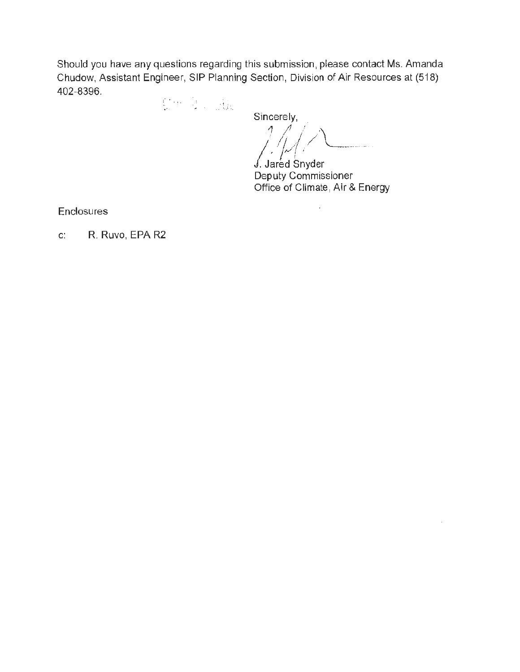Should you have any questions regarding this submission, please contact Ms. Amanda Chudow, Assistant Engineer, SIP Planning Section, Division of Air Resources at (518) 402-8396.

.. ' . . , · *:,* 

Sincerely,

. *,1*. *4 /*///\\_ / , 1/, <sup>1</sup>/ ... / Jared Snyder

Deputy Commissioner Office of Climate, Air & Energy

 $\mathbf{r}$ 

**Enclosures** 

c: R. Ruvo, EPA R2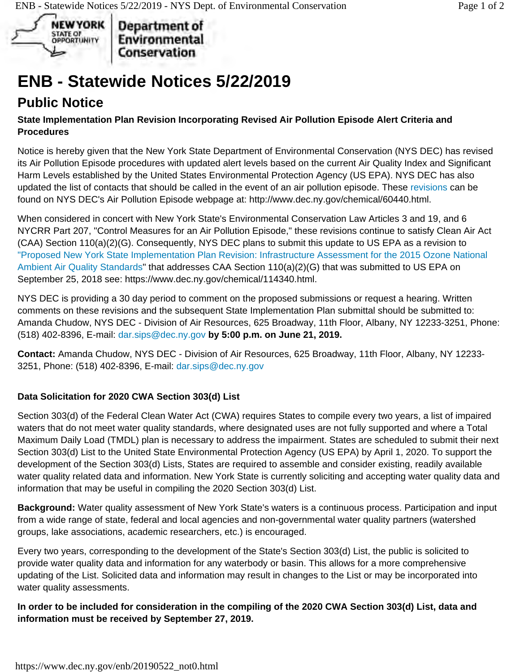

Department of Environmental Conservation

# **ENB - Statewide Notices 5/22/2019**

# **Public Notice**

### **State Implementation Plan Revision Incorporating Revised Air Pollution Episode Alert Criteria and Procedures**

Notice is hereby given that the New York State Department of Environmental Conservation (NYS DEC) has revised its Air Pollution Episode procedures with updated alert levels based on the current Air Quality Index and Significant Harm Levels established by the United States Environmental Protection Agency (US EPA). NYS DEC has also updated the list of contacts that should be called in the event of an air pollution episode. These revisions can be found on NYS DEC's Air Pollution Episode webpage at: <http://www.dec.ny.gov/chemical/60440.html>.

When considered in concert with New York State's Environmental Conservation Law Articles 3 and 19, and 6 NYCRR Part 207, "Control Measures for an Air Pollution Episode," these revisions continue to satisfy Clean Air Act (CAA) Section 110(a)(2)(G). Consequently, NYS DEC plans to submit this update to US EPA as a revision to "Proposed New York State Implementation Plan Revision: Infrastructure Assessment for the 2015 Ozone National Ambient Air Quality Standards" that addresses CAA Section 110(a)(2)(G) that was submitted to US EPA on September 25, 2018 see:<https://www.dec.ny.gov/chemical/114340.html>.

NYS DEC is providing a 30 day period to comment on the proposed submissions or request a hearing. Written comments on these revisions and the subsequent State Implementation Plan submittal should be submitted to: Amanda Chudow, NYS DEC - Division of Air Resources, 625 Broadway, 11th Floor, Albany, NY 12233-3251, Phone: (518) 402-8396, E-mail: [dar.sips@dec.ny.gov](mailto:dar.sips@dec.ny.gov) **by 5:00 p.m. on June 21, 2019.** 

**Contact:** Amanda Chudow, NYS DEC - Division of Air Resources, 625 Broadway, 11th Floor, Albany, NY 12233- 3251, Phone: (518) 402-8396, E-mail: [dar.sips@dec.ny.gov](mailto:dar.sips@dec.ny.gov) 

## **Data Solicitation for 2020 CWA Section 303(d) List**

Section 303(d) of the Federal Clean Water Act (CWA) requires States to compile every two years, a list of impaired waters that do not meet water quality standards, where designated uses are not fully supported and where a Total Maximum Daily Load (TMDL) plan is necessary to address the impairment. States are scheduled to submit their next Section 303(d) List to the United State Environmental Protection Agency (US EPA) by April 1, 2020. To support the development of the Section 303(d) Lists, States are required to assemble and consider existing, readily available water quality related data and information. New York State is currently soliciting and accepting water quality data and information that may be useful in compiling the 2020 Section 303(d) List.

**Background:** Water quality assessment of New York State's waters is a continuous process. Participation and input from a wide range of state, federal and local agencies and non-governmental water quality partners (watershed groups, lake associations, academic researchers, etc.) is encouraged.

Every two years, corresponding to the development of the State's Section 303(d) List, the public is solicited to provide water quality data and information for any waterbody or basin. This allows for a more comprehensive updating of the List. Solicited data and information may result in changes to the List or may be incorporated into water quality assessments.

**In order to be included for consideration in the compiling of the 2020 CWA Section 303(d) List, data and information must be received by September 27, 2019.**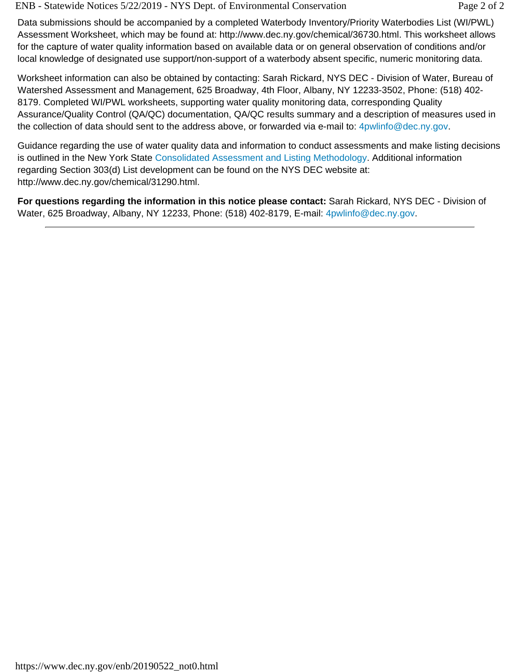ENB - Statewide Notices 5/22/2019 - NYS Dept. of Environmental Conservation Page 2 of 2

Data submissions should be accompanied by a completed Waterbody Inventory/Priority Waterbodies List (WI/PWL) Assessment Worksheet, which may be found at: [http://www.dec.ny.gov/chemical/36730.html.](http://www.dec.ny.gov/chemical/36730.html) This worksheet allows for the capture of water quality information based on available data or on general observation of conditions and/or local knowledge of designated use support/non-support of a waterbody absent specific, numeric monitoring data.

Worksheet information can also be obtained by contacting: Sarah Rickard, NYS DEC - Division of Water, Bureau of Watershed Assessment and Management, 625 Broadway, 4th Floor, Albany, NY 12233-3502, Phone: (518) 402- 8179. Completed WI/PWL worksheets, supporting water quality monitoring data, corresponding Quality Assurance/Quality Control (QA/QC) documentation, QA/QC results summary and a description of measures used in the collection of data should sent to the address above, or forwarded via e-mail to: [4pwlinfo@dec.ny.gov.](mailto:4pwlinfo@dec.ny.gov)

Guidance regarding the use of water quality data and information to conduct assessments and make listing decisions is outlined in the New York State Consolidated Assessment and Listing Methodology. Additional information regarding Section 303(d) List development can be found on the NYS DEC website at: <http://www.dec.ny.gov/chemical/31290.html>.

**For questions regarding the information in this notice please contact:** Sarah Rickard, NYS DEC - Division of Water, 625 Broadway, Albany, NY 12233, Phone: (518) 402-8179, E-mail: [4pwlinfo@dec.ny.gov.](mailto:4pwlinfo@dec.ny.gov)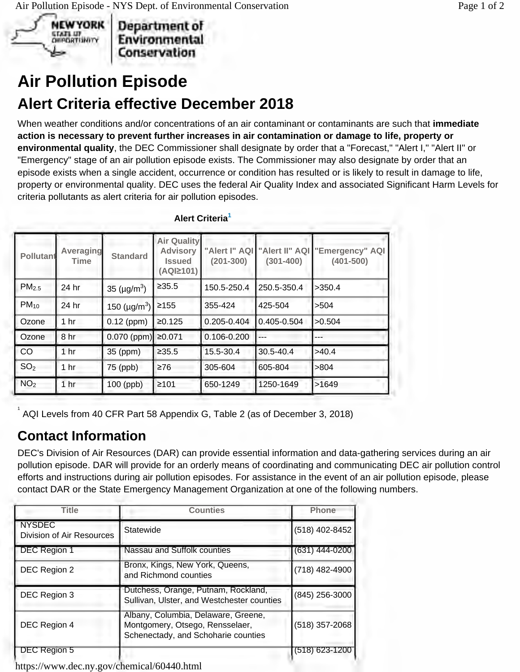

Department of Environmental Conservation

# **Air Pollution Episode Alert Criteria effective December 2018**

When weather conditions and/or concentrations of an air contaminant or contaminants are such that **immediate action is necessary to prevent further increases in air contamination or damage to life, property or environmental quality**, the DEC Commissioner shall designate by order that a "Forecast," "Alert I," "Alert II" or "Emergency" stage of an air pollution episode exists. The Commissioner may also designate by order that an episode exists when a single accident, occurrence or condition has resulted or is likely to result in damage to life, property or environmental quality. DEC uses the federal Air Quality Index and associated Significant Harm Levels for criteria pollutants as alert criteria for air pollution episodes.

| <b>Pollutant</b>  | Averaging<br>Time | <b>Standard</b>                | <b>Air Quality</b><br><b>Advisory</b><br><b>Issued</b><br>(AQI≥101) | "Alert I" AQI<br>$(201 - 300)$ | "Alert II" AQI<br>$(301 - 400)$ | "Emergency" AQI<br>$(401 - 500)$ |
|-------------------|-------------------|--------------------------------|---------------------------------------------------------------------|--------------------------------|---------------------------------|----------------------------------|
| PM <sub>2.5</sub> | 24 hr             | 35 ( $\mu$ g/m <sup>3</sup> )  | ≥35.5                                                               | 150.5-250.4                    | 250.5-350.4                     | >350.4                           |
| $PM_{10}$         | 24 hr             | 150 ( $\mu$ g/m <sup>3</sup> ) | $\geq 155$                                                          | 355-424                        | 425-504                         | >504                             |
| Ozone             | 1 <sub>hr</sub>   | $0.12$ (ppm)                   | ≥0.125                                                              | 0.205-0.404                    | $0.405 - 0.504$                 | >0.504                           |
| Ozone             | 8 hr              | $0.070$ (ppm)                  | ≥0.071                                                              | 0.106-0.200                    | $---$                           |                                  |
| CO                | 1 <sub>hr</sub>   | 35 (ppm)                       | ≥35.5                                                               | 15.5-30.4                      | 30.5-40.4                       | >40.4                            |
| SO <sub>2</sub>   | 1 <sub>hr</sub>   | 75 (ppb)                       | $\geq 76$                                                           | 305-604                        | 605-804                         | >804                             |
| NO <sub>2</sub>   | 1 <sub>hr</sub>   | 100 (ppb)                      | $\geq 101$                                                          | 650-1249                       | 1250-1649                       | >1649                            |

## **Alert Criteria<sup>1</sup>**

1 AQI Levels from 40 CFR Part 58 Appendix G, Table 2 (as of December 3, 2018)

## **Contact Information**

DEC's Division of Air Resources (DAR) can provide essential information and data-gathering services during an air pollution episode. DAR will provide for an orderly means of coordinating and communicating DEC air pollution control efforts and instructions during air pollution episodes. For assistance in the event of an air pollution episode, please contact DAR or the State Emergency Management Organization at one of the following numbers.

| <b>Title</b>                               | <b>Counties</b>                                                                                               | <b>Phone</b>     |
|--------------------------------------------|---------------------------------------------------------------------------------------------------------------|------------------|
| <b>NYSDEC</b><br>Division of Air Resources | Statewide                                                                                                     | (518) 402-8452   |
| DEC Region 1                               | Nassau and Suffolk counties                                                                                   | $(631)$ 444-0200 |
| DEC Region 2                               | Bronx, Kings, New York, Queens,<br>and Richmond counties                                                      | (718) 482-4900   |
| DEC Region 3                               | Dutchess, Orange, Putnam, Rockland,<br>Sullivan, Ulster, and Westchester counties                             | (845) 256-3000   |
| DEC Region 4                               | Albany, Columbia, Delaware, Greene,<br>Montgomery, Otsego, Rensselaer,<br>Schenectady, and Schoharie counties | (518) 357-2068   |
| DEC Region 5                               |                                                                                                               | (518) 623-1200   |

<https://www.dec.ny.gov/chemical/60440.html>